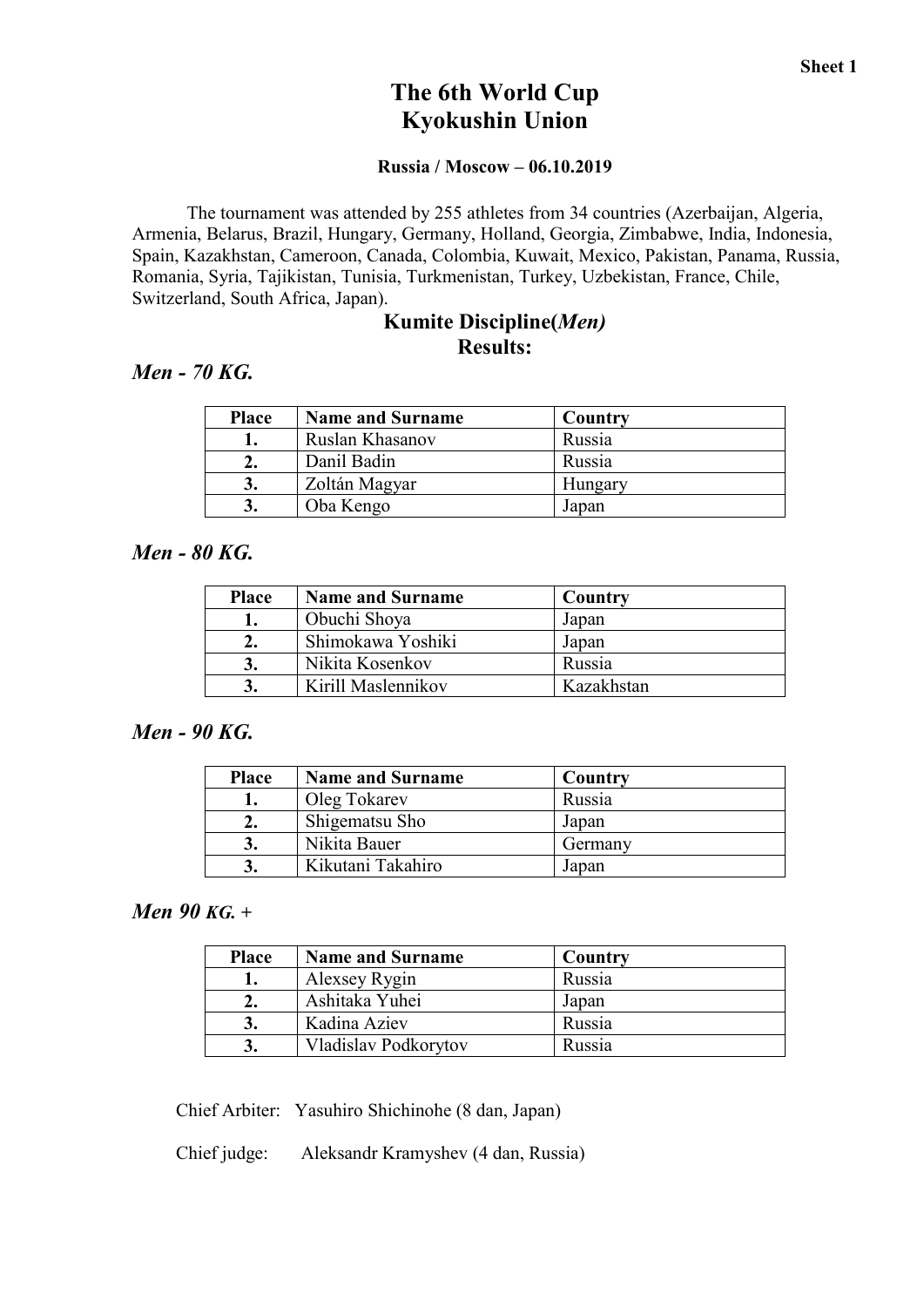# The 6th World Cup Kyokushin Union

#### Russia / Moscow – 06.10.2019

The tournament was attended by 255 athletes from 34 countries (Azerbaijan, Algeria, Armenia, Belarus, Brazil, Hungary, Germany, Holland, Georgia, Zimbabwe, India, Indonesia, Spain, Kazakhstan, Cameroon, Canada, Colombia, Kuwait, Mexico, Pakistan, Panama, Russia, Romania, Syria, Tajikistan, Tunisia, Turkmenistan, Turkey, Uzbekistan, France, Chile, Switzerland, South Africa, Japan).

#### Kumite Discipline(*Men)* Results:

#### *Men - 70 KG.*

| <b>Place</b> | <b>Name and Surname</b> | Country |
|--------------|-------------------------|---------|
|              | Ruslan Khasanov         | Russia  |
| ۷.           | Danil Badin             | Russia  |
| 3.           | Zoltán Magyar           | Hungary |
| 3.           | Oba Kengo               | Japan   |

#### *Men - 80 KG.*

| <b>Place</b> | <b>Name and Surname</b> | Country    |
|--------------|-------------------------|------------|
|              | Obuchi Shoya            | Japan      |
|              | Shimokawa Yoshiki       | Japan      |
|              | Nikita Kosenkov         | Russia     |
|              | Kirill Maslennikov      | Kazakhstan |

#### *Men - 90 KG.*

| <b>Place</b> | <b>Name and Surname</b> | Country |
|--------------|-------------------------|---------|
|              | Oleg Tokarev            | Russia  |
| 2.           | Shigematsu Sho          | Japan   |
| 3.           | Nikita Bauer            | Germany |
| $\mathbf{J}$ | Kikutani Takahiro       | Japan   |

#### *Men 90 KG. +*

| <b>Place</b> | <b>Name and Surname</b> | Country |  |
|--------------|-------------------------|---------|--|
|              | Alexsey Rygin           | Russia  |  |
|              | Ashitaka Yuhei          | Japan   |  |
|              | Kadina Aziev            | Russia  |  |
|              | Vladislav Podkorytov    | Russia  |  |

Сhief Arbiter: Yasuhiro Shichinohe (8 dan, Japan)

Сhief judge: Aleksandr Kramyshev (4 dan, Russia)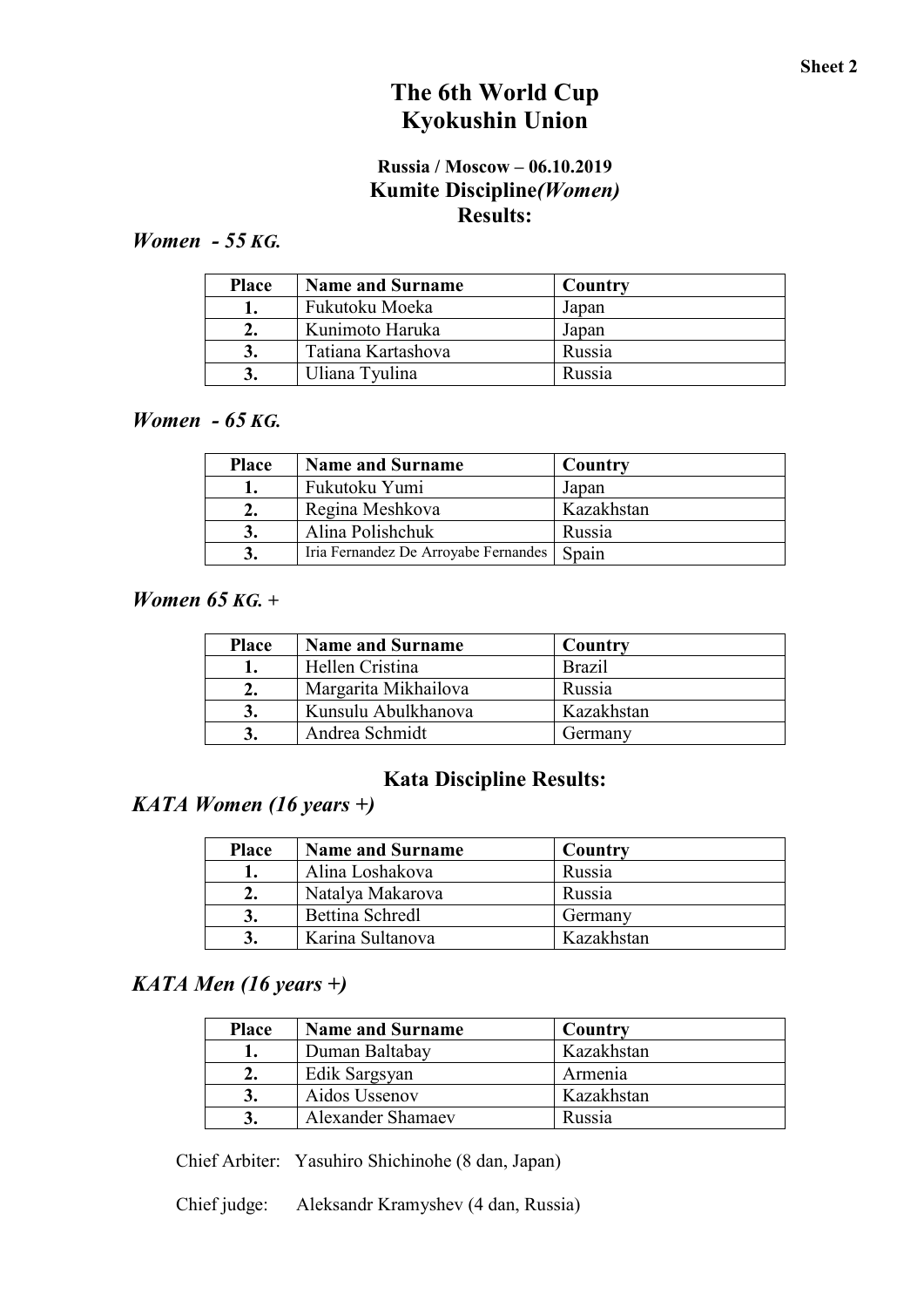# The 6th World Cup Kyokushin Union

### Russia / Moscow – 06.10.2019 Kumite Discipline*(Women)* Results:

# *Women - 55 KG.*

| <b>Place</b> | <b>Name and Surname</b> | Country |
|--------------|-------------------------|---------|
|              | Fukutoku Moeka          | Japan   |
|              | Kunimoto Haruka         | Japan   |
|              | Tatiana Kartashova      | Russia  |
|              | Uliana Tyulina          | Russia  |

### *Women - 65 KG.*

| <b>Place</b> | <b>Name and Surname</b>              | Country    |
|--------------|--------------------------------------|------------|
|              | Fukutoku Yumi                        | Japan      |
| z.           | Regina Meshkova                      | Kazakhstan |
| J.           | Alina Polishchuk                     | Russia     |
|              | Iria Fernandez De Arroyabe Fernandes | Spain      |

#### *Women 65 KG. +*

| <b>Place</b> | <b>Name and Surname</b> | Country       |
|--------------|-------------------------|---------------|
|              | Hellen Cristina         | <b>Brazil</b> |
| z.           | Margarita Mikhailova    | Russia        |
|              | Kunsulu Abulkhanova     | Kazakhstan    |
|              | Andrea Schmidt          | Germany       |

# Kata Discipline Results:

# *KATA Women (16 years +)*

| <b>Place</b> | <b>Name and Surname</b> | Country    |
|--------------|-------------------------|------------|
|              | Alina Loshakova         | Russia     |
|              | Natalya Makarova        | Russia     |
|              | <b>Bettina Schredl</b>  | Germany    |
|              | Karina Sultanova        | Kazakhstan |

## *KATA Men (16 years +)*

| <b>Place</b> | <b>Name and Surname</b>  | Country    |
|--------------|--------------------------|------------|
|              | Duman Baltabay           | Kazakhstan |
| 2.           | Edik Sargsyan            | Armenia    |
|              | Aidos Ussenov            | Kazakhstan |
|              | <b>Alexander Shamaev</b> | Russia     |

Сhief Arbiter: Yasuhiro Shichinohe (8 dan, Japan)

Сhief judge: Aleksandr Kramyshev (4 dan, Russia)